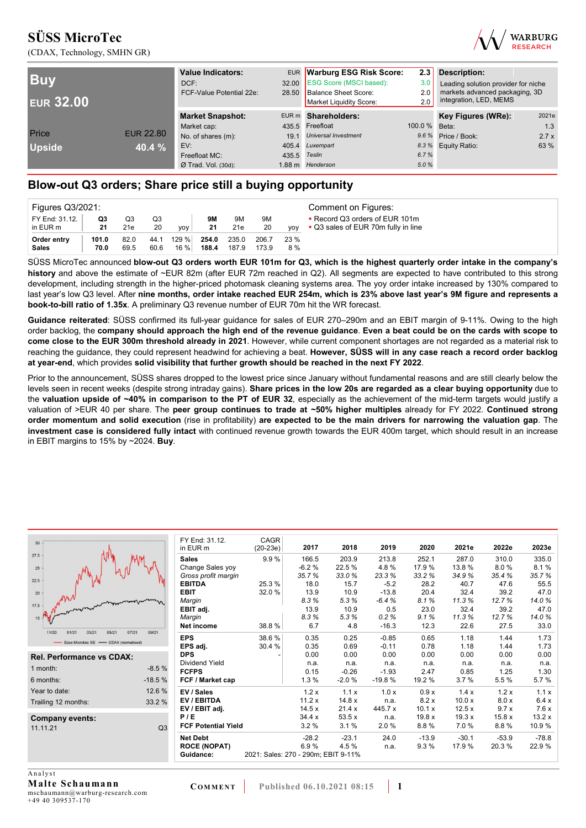



| <b>Buy</b><br><b>EUR 32.00</b> |                  | <b>Value Indicators:</b><br>DCF:<br>FCF-Value Potential 22e: | 28.50        | EUR Warburg ESG Risk Score:<br>32.00 ESG Score (MSCI based):<br>Balance Sheet Score:<br>Market Liquidity Score: | 2.3<br>3.0<br>2.0<br>2.0 | <b>Description:</b><br>Leading solution provider for niche<br>markets advanced packaging, 3D<br>integration, LED, MEMS |       |  |
|--------------------------------|------------------|--------------------------------------------------------------|--------------|-----------------------------------------------------------------------------------------------------------------|--------------------------|------------------------------------------------------------------------------------------------------------------------|-------|--|
|                                |                  | <b>Market Snapshot:</b>                                      |              | EUR m Shareholders:                                                                                             |                          | Key Figures (WRe):                                                                                                     | 2021e |  |
|                                |                  | Market cap:                                                  |              | 435.5 Freefloat                                                                                                 | 100.0 % Beta:            |                                                                                                                        | 1.3   |  |
| Price                          | <b>EUR 22.80</b> | No. of shares (m):                                           | 19.1         | <b>Universal Investment</b>                                                                                     |                          | 9.6 % Price / Book:                                                                                                    | 2.7x  |  |
| <b>Upside</b>                  | 40.4 %           | EV:                                                          |              | 405.4 Luxempart                                                                                                 |                          | 8.3 % Equity Ratio:                                                                                                    | 63 %  |  |
|                                |                  | Freefloat MC:                                                | 435.5 Teslin |                                                                                                                 | 6.7%                     |                                                                                                                        |       |  |
|                                |                  | $Ø$ Trad. Vol. (30d):                                        |              | 1.88 m Henderson                                                                                                | 5.0%                     |                                                                                                                        |       |  |

# **Blow-out Q3 orders; Share price still a buying opportunity**

| Figures Q3/2021:            |               |              |              |                 |                |                |                |             | Comment on Figures:                                                   |
|-----------------------------|---------------|--------------|--------------|-----------------|----------------|----------------|----------------|-------------|-----------------------------------------------------------------------|
| FY End: 31.12.<br>in EUR m  | Q3<br>21      | Q3<br>21e    | Q3<br>20     | yoy             | 9M<br>21       | 9M<br>21e      | 9M<br>20       | <b>VOV</b>  | • Record Q3 orders of EUR 101m<br>• Q3 sales of EUR 70m fully in line |
| Order entry<br><b>Sales</b> | 101.0<br>70.0 | 82.0<br>69.5 | 44.1<br>60.6 | 129 %<br>16 % l | 254.0<br>188.4 | 235.0<br>187.9 | 206.7<br>173.9 | 23 %<br>8 % |                                                                       |

SÜSS MicroTec announced **blow-out Q3 orders worth EUR 101m for Q3, which is the highest quarterly order intake in the company's history** and above the estimate of ~EUR 82m (after EUR 72m reached in Q2). All segments are expected to have contributed to this strong development, including strength in the higher-priced photomask cleaning systems area. The yoy order intake increased by 130% compared to last year's low Q3 level. After **nine months, order intake reached EUR 254m, which is 23% above last year's 9M figure and represents a book-to-bill ratio of 1.35x**. A preliminary Q3 revenue number of EUR 70m hit the WR forecast.

**Guidance reiterated**: SÜSS confirmed its full-year guidance for sales of EUR 270–290m and an EBIT margin of 9-11%. Owing to the high order backlog, the **company should approach the high end of the revenue guidance**. **Even a beat could be on the cards with scope to come close to the EUR 300m threshold already in 2021**. However, while current component shortages are not regarded as a material risk to reaching the guidance, they could represent headwind for achieving a beat. **However, SÜSS will in any case reach a record order backlog at year-end**, which provides **solid visibility that further growth should be reached in the next FY 2022**.

Prior to the announcement, SÜSS shares dropped to the lowest price since January without fundamental reasons and are still clearly below the levels seen in recent weeks (despite strong intraday gains). **Share prices in the low 20s are regarded as a clear buying opportunity** due to the **valuation upside of ~40% in comparison to the PT of EUR 32**, especially as the achievement of the mid-term targets would justify a valuation of >EUR 40 per share. The **peer group continues to trade at ~50% higher multiples** already for FY 2022. **Continued strong order momentum and solid execution** (rise in profitability) **are expected to be the main drivers for narrowing the valuation gap**. The **investment case is considered fully intact** with continued revenue growth towards the EUR 400m target, which should result in an increase in EBIT margins to 15% by ~2024. **Buy**.

|                            |                                                                                    |                             |             |                                                                     |                 |                       |                                         | 2023e                                           |
|----------------------------|------------------------------------------------------------------------------------|-----------------------------|-------------|---------------------------------------------------------------------|-----------------|-----------------------|-----------------------------------------|-------------------------------------------------|
| <b>Sales</b>               | 9.9%                                                                               | 166.5                       | 203.9       | 213.8                                                               | 252.1           | 287.0                 | 310.0                                   | 335.0                                           |
| Change Sales yoy           |                                                                                    | $-6.2%$                     | 22.5 %      | 4.8%                                                                | 17.9%           | 13.8%                 | 8.0%                                    | 8.1%                                            |
| Gross profit margin        |                                                                                    | 35.7%                       | 33.0%       | 23.3%                                                               | 33.2%           | 34.9%                 | 35.4%                                   | 35.7%                                           |
| <b>EBITDA</b>              | 25.3%                                                                              | 18.0                        | 15.7        | $-5.2$                                                              | 28.2            | 40.7                  | 47.6                                    | 55.5                                            |
| <b>EBIT</b>                | 32.0%                                                                              | 13.9                        | 10.9        | $-13.8$                                                             | 20.4            | 32.4                  | 39.2                                    | 47.0                                            |
| Margin                     |                                                                                    | 8.3%                        | 5.3%        | $-6.4%$                                                             | 8.1%            | 11.3%                 | 12.7%                                   | 14.0%                                           |
| EBIT adj.                  |                                                                                    | 13.9                        | 10.9        | 0.5                                                                 | 23.0            | 32.4                  | 39.2                                    | 47.0                                            |
| Margin                     |                                                                                    | 8.3%                        | 5.3%        | 0.2%                                                                | 9.1%            |                       |                                         | 14.0%                                           |
| Net income                 |                                                                                    |                             |             |                                                                     | 12.3            |                       |                                         | 33.0                                            |
| <b>EPS</b>                 | 38.6%                                                                              | 0.35                        | 0.25        | $-0.85$                                                             | 0.65            | 1.18                  | 1.44                                    | 1.73                                            |
| EPS adj.                   | 30.4 %                                                                             | 0.35                        | 0.69        | $-0.11$                                                             | 0.78            | 1.18                  | 1.44                                    | 1.73                                            |
| <b>DPS</b>                 |                                                                                    | 0.00                        | 0.00        | 0.00                                                                | 0.00            | 0.00                  | 0.00                                    | 0.00                                            |
| Dividend Yield             |                                                                                    | n.a.                        | n.a.        | n.a.                                                                | n.a.            | n.a.                  | n.a.                                    | n.a.                                            |
| <b>FCFPS</b>               |                                                                                    | 0.15                        | $-0.26$     | $-1.93$                                                             | 2.47            | 0.85                  | 1.25                                    | 1.30                                            |
| FCF / Market cap           |                                                                                    | 1.3%                        | $-2.0%$     | $-19.8%$                                                            | 19.2 %          | 3.7%                  | 5.5 %                                   | 5.7%                                            |
| EV / Sales                 |                                                                                    | 1.2x                        | 1.1x        | 1.0x                                                                | 0.9x            | 1.4x                  | 1.2x                                    | 1.1x                                            |
| EV / EBITDA                |                                                                                    | 11.2x                       | 14.8x       | n.a.                                                                | 8.2 x           | 10.0x                 | 8.0 x                                   | 6.4x                                            |
| EV / EBIT adj.             |                                                                                    | 14.5x                       | 21.4x       | 445.7 x                                                             | 10.1 x          | 12.5x                 |                                         | 7.6x                                            |
|                            |                                                                                    | 34.4 x                      |             | n.a.                                                                |                 |                       |                                         | 13.2x                                           |
| <b>FCF Potential Yield</b> |                                                                                    | 3.2%                        |             | 2.0%                                                                |                 |                       |                                         | 10.9%                                           |
| <b>Net Debt</b>            |                                                                                    | $-28.2$                     | $-23.1$     | 24.0                                                                | $-13.9$         | $-30.1$               | $-53.9$                                 | $-78.8$                                         |
| <b>ROCE (NOPAT)</b>        |                                                                                    | 6.9%                        | 4.5%        | n.a.                                                                | 9.3%            | 17.9 %                | 20.3%                                   | 22.9%                                           |
| Guidance:                  |                                                                                    |                             |             |                                                                     |                 |                       |                                         |                                                 |
|                            |                                                                                    |                             |             |                                                                     |                 |                       |                                         |                                                 |
|                            | FY End: 31.12.<br>in EUR m<br>$-8.5%$<br>$-18.5%$<br>12.6 %<br>33.2 %<br>P/E<br>Q3 | CAGR<br>$(20-23e)$<br>38.8% | 2017<br>6.7 | 2018<br>4.8<br>53.5x<br>3.1%<br>2021: Sales: 270 - 290m; EBIT 9-11% | 2019<br>$-16.3$ | 2020<br>19.8x<br>8.8% | 2021e<br>11.3%<br>22.6<br>19.3x<br>7.0% | 2022e<br>12.7%<br>27.5<br>9.7x<br>15.8x<br>8.8% |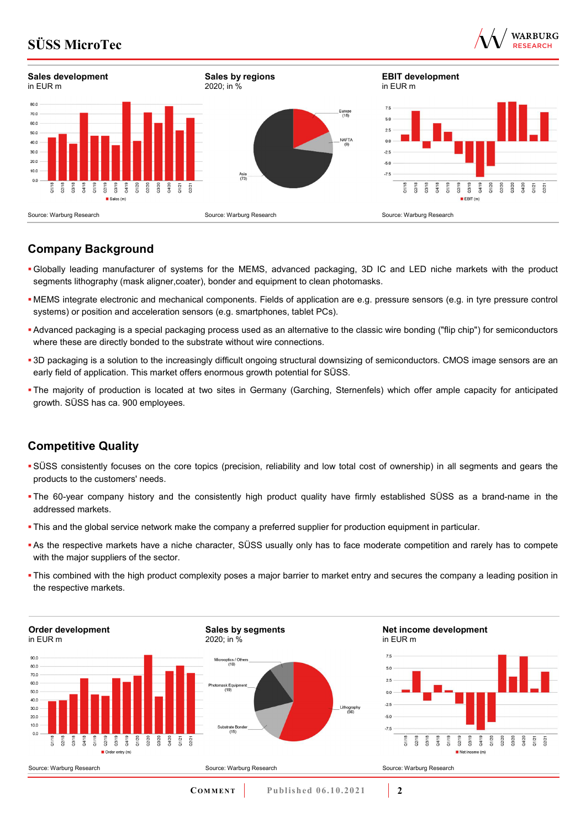



# **Company Background**

- Globally leading manufacturer of systems for the MEMS, advanced packaging, 3D IC and LED niche markets with the product segments lithography (mask aligner,coater), bonder and equipment to clean photomasks.
- MEMS integrate electronic and mechanical components. Fields of application are e.g. pressure sensors (e.g. in tyre pressure control systems) or position and acceleration sensors (e.g. smartphones, tablet PCs).
- Advanced packaging is a special packaging process used as an alternative to the classic wire bonding ("flip chip") for semiconductors where these are directly bonded to the substrate without wire connections.
- 3D packaging is a solution to the increasingly difficult ongoing structural downsizing of semiconductors. CMOS image sensors are an early field of application. This market offers enormous growth potential for SÜSS.
- The majority of production is located at two sites in Germany (Garching, Sternenfels) which offer ample capacity for anticipated growth. SÜSS has ca. 900 employees.

# **Competitive Quality**

- SÜSS consistently focuses on the core topics (precision, reliability and low total cost of ownership) in all segments and gears the products to the customers' needs.
- The 60-year company history and the consistently high product quality have firmly established SÜSS as a brand-name in the addressed markets.
- This and the global service network make the company a preferred supplier for production equipment in particular.
- As the respective markets have a niche character, SÜSS usually only has to face moderate competition and rarely has to compete with the major suppliers of the sector.
- This combined with the high product complexity poses a major barrier to market entry and secures the company a leading position in the respective markets.

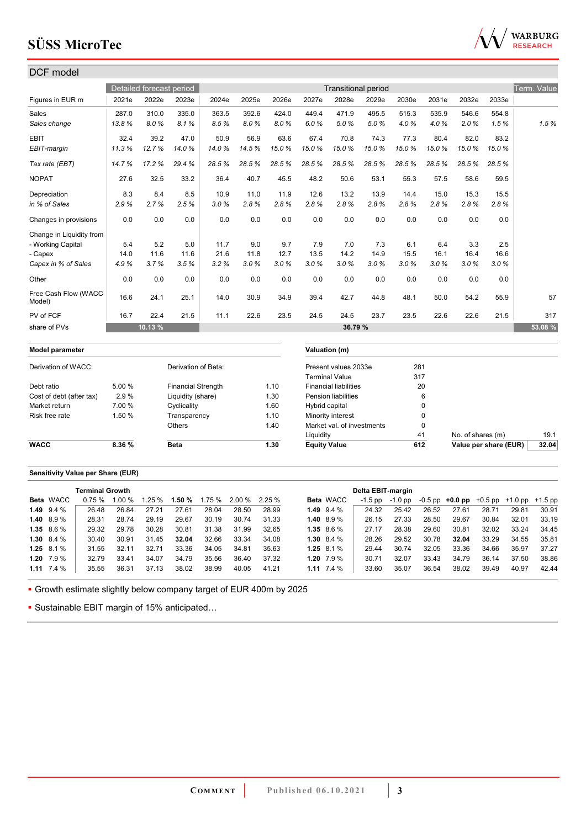

| DCF model                      |        |                          |                           |       |       |       |                |                              |                            |       |          |       |       |             |
|--------------------------------|--------|--------------------------|---------------------------|-------|-------|-------|----------------|------------------------------|----------------------------|-------|----------|-------|-------|-------------|
|                                |        | Detailed forecast period |                           |       |       |       |                |                              | <b>Transitional period</b> |       |          |       |       | Term. Value |
| Figures in EUR m               | 2021e  | 2022e                    | 2023e                     | 2024e | 2025e | 2026e | 2027e          | 2028e                        | 2029e                      | 2030e | 2031e    | 2032e | 2033e |             |
| Sales                          | 287.0  | 310.0                    | 335.0                     | 363.5 | 392.6 | 424.0 | 449.4          | 471.9                        | 495.5                      | 515.3 | 535.9    | 546.6 | 554.8 |             |
| Sales change                   | 13.8%  | 8.0%                     | 8.1%                      | 8.5%  | 8.0%  | 8.0%  | 6.0%           | 5.0%                         | 5.0%                       | 4.0%  | 4.0%     | 2.0%  | 1.5%  | 1.5%        |
| <b>EBIT</b>                    | 32.4   | 39.2                     | 47.0                      | 50.9  | 56.9  | 63.6  | 67.4           | 70.8                         | 74.3                       | 77.3  | 80.4     | 82.0  | 83.2  |             |
| EBIT-margin                    | 11.3%  | 12.7%                    | 14.0%                     | 14.0% | 14.5% | 15.0% | 15.0%          | 15.0%                        | 15.0%                      | 15.0% | 15.0%    | 15.0% | 15.0% |             |
| Tax rate (EBT)                 | 14.7%  | 17.2%                    | 29.4%                     | 28.5% | 28.5% | 28.5% | 28.5%          | 28.5%                        | 28.5%                      | 28.5% | 28.5%    | 28.5% | 28.5% |             |
| <b>NOPAT</b>                   | 27.6   | 32.5                     | 33.2                      | 36.4  | 40.7  | 45.5  | 48.2           | 50.6                         | 53.1                       | 55.3  | 57.5     | 58.6  | 59.5  |             |
| Depreciation                   | 8.3    | 8.4                      | 8.5                       | 10.9  | 11.0  | 11.9  | 12.6           | 13.2                         | 13.9                       | 14.4  | 15.0     | 15.3  | 15.5  |             |
| in % of Sales                  | 2.9%   | 2.7%                     | 2.5%                      | 3.0%  | 2.8%  | 2.8%  | 2.8%           | 2.8%                         | 2.8%                       | 2.8%  | 2.8%     | 2.8%  | 2.8%  |             |
| Changes in provisions          | 0.0    | 0.0                      | 0.0                       | 0.0   | 0.0   | 0.0   | 0.0            | 0.0                          | 0.0                        | 0.0   | 0.0      | 0.0   | 0.0   |             |
| Change in Liquidity from       |        |                          |                           |       |       |       |                |                              |                            |       |          |       |       |             |
| - Working Capital              | 5.4    | 5.2                      | 5.0                       | 11.7  | 9.0   | 9.7   | 7.9            | 7.0                          | 7.3                        | 6.1   | 6.4      | 3.3   | 2.5   |             |
| - Capex                        | 14.0   | 11.6                     | 11.6                      | 21.6  | 11.8  | 12.7  | 13.5           | 14.2                         | 14.9                       | 15.5  | 16.1     | 16.4  | 16.6  |             |
| Capex in % of Sales            | 4.9%   | 3.7%                     | 3.5%                      | 3.2%  | 3.0%  | 3.0%  | 3.0%           | 3.0%                         | 3.0%                       | 3.0%  | 3.0%     | 3.0%  | 3.0%  |             |
| Other                          | 0.0    | 0.0                      | 0.0                       | 0.0   | 0.0   | 0.0   | 0.0            | 0.0                          | 0.0                        | 0.0   | 0.0      | 0.0   | 0.0   |             |
| Free Cash Flow (WACC<br>Model) | 16.6   | 24.1                     | 25.1                      | 14.0  | 30.9  | 34.9  | 39.4           | 42.7                         | 44.8                       | 48.1  | 50.0     | 54.2  | 55.9  | 57          |
| PV of FCF                      | 16.7   | 22.4                     | 21.5                      | 11.1  | 22.6  | 23.5  | 24.5           | 24.5                         | 23.7                       | 23.5  | 22.6     | 22.6  | 21.5  | 317         |
| share of PVs                   |        | 10.13 %                  |                           |       |       |       |                | 36.79 %                      |                            |       |          |       |       | 53.08 %     |
| <b>Model parameter</b>         |        |                          |                           |       |       |       |                | Valuation (m)                |                            |       |          |       |       |             |
| Derivation of WACC:            |        |                          | Derivation of Beta:       |       |       |       |                | Present values 2033e         |                            | 281   |          |       |       |             |
|                                |        |                          |                           |       |       |       |                | <b>Terminal Value</b>        |                            | 317   |          |       |       |             |
| Debt ratio                     | 5.00 % |                          | <b>Financial Strength</b> |       |       | 1.10  |                | <b>Financial liabilities</b> |                            |       | 20       |       |       |             |
| Cost of debt (after tax)       | 2.9%   |                          | Liquidity (share)         |       |       | 1.30  |                | Pension liabilities          |                            |       | 6        |       |       |             |
| Market return                  | 7.00 % |                          | Cyclicality               |       |       | 1.60  | Hybrid capital |                              |                            |       | 0        |       |       |             |
| Risk free rate                 | 1.50 % |                          | Transparency              |       |       | 1.10  |                | Minority interest            |                            |       | 0        |       |       |             |
|                                |        |                          | Others                    |       |       | 1.40  |                | Market val. of investments   |                            |       | $\Omega$ |       |       |             |

### **Sensitivity Value per Share (EUR)**

|                   | <b>Terminal Growth</b> |       |       |       |       |                                      |       |                  | Delta EBIT-margin |         |       |                                                   |       |       |       |
|-------------------|------------------------|-------|-------|-------|-------|--------------------------------------|-------|------------------|-------------------|---------|-------|---------------------------------------------------|-------|-------|-------|
| <b>Beta WACC</b>  | 0.75%                  | 1.00% |       |       |       | $1.25\%$ 1.50 % 1.75 % 2.00 % 2.25 % |       | <b>Beta WACC</b> | -1.5 pp           | -1.0 pp |       | $-0.5$ pp $+0.0$ pp $+0.5$ pp $+1.0$ pp $+1.5$ pp |       |       |       |
| 1.49 $9.4\%$      | 26.48                  | 26.84 | 27.21 | 27.61 | 28.04 | 28.50                                | 28.99 | 1.49 $9.4\%$     | 24.32             | 25.42   | 26.52 | 27.61                                             | 28.71 | 29.81 | 30.91 |
| $1.40\quad 8.9\%$ | 28.31                  | 28.74 | 29.19 | 29.67 | 30.19 | 30.74                                | 31.33 | 1.40 $8.9\%$     | 26.15             | 27.33   | 28.50 | 29.67                                             | 30.84 | 32.01 | 33.19 |
| $1.35$ 8.6 %      | 29.32                  | 29.78 | 30.28 | 30.81 | 31.38 | 31.99                                | 32.65 | $1.35$ 8.6 %     | 27.17             | 28.38   | 29.60 | 30.81                                             | 32.02 | 33.24 | 34.45 |
| $1.30\quad 8.4\%$ | 30.40                  | 30.91 | 31.45 | 32.04 | 32.66 | 33.34                                | 34.08 | 1.30 $8.4\%$     | 28.26             | 29.52   | 30.78 | 32.04                                             | 33.29 | 34.55 | 35.81 |
| $1.25$ 8.1 %      | 31.55                  | 32.11 | 32.71 | 33.36 | 34.05 | 34.81                                | 35.63 | 1.25 $8.1\%$     | 29.44             | 30.74   | 32.05 | 33.36                                             | 34.66 | 35.97 | 37.27 |
| 1.20 $7.9\%$      | 32.79                  | 33.41 | 34.07 | 34.79 | 35.56 | 36.40                                | 37.32 | 1.20 $7.9\%$     | 30.71             | 32.07   | 33.43 | 34.79                                             | 36.14 | 37.50 | 38.86 |
| 1.11 $7.4\%$      | 35.55                  | 36.31 | 37.13 | 38.02 | 38.99 | 40.05                                | 41.21 | 1.11 $7.4\%$     | 33.60             | 35.07   | 36.54 | 38.02                                             | 39.49 | 40.97 | 42.44 |

**WACC 8.36 % Beta 1.30 Equity Value 612 Value per share (EUR) 32.04**

Liquidity 19.1

Growth estimate slightly below company target of EUR 400m by 2025

■ Sustainable EBIT margin of 15% anticipated...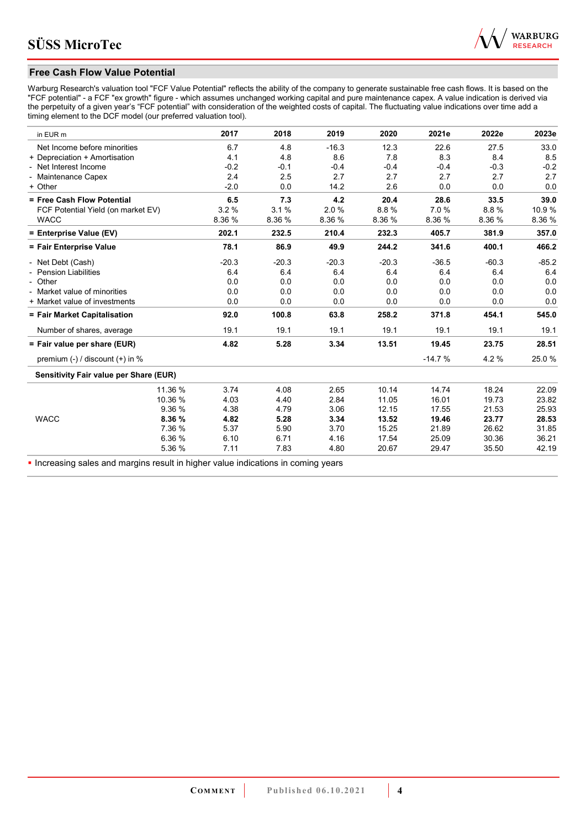

## **Free Cash Flow Value Potential**

Warburg Research's valuation tool "FCF Value Potential" reflects the ability of the company to generate sustainable free cash flows. It is based on the "FCF potential" - a FCF "ex growth" figure - which assumes unchanged working capital and pure maintenance capex. A value indication is derived via the perpetuity of a given year's "FCF potential" with consideration of the weighted costs of capital. The fluctuating value indications over time add a timing element to the DCF model (our preferred valuation tool).

| in EUR m                                      | 2017    | 2018    | 2019    | 2020    | 2021e    | 2022e   | 2023e   |
|-----------------------------------------------|---------|---------|---------|---------|----------|---------|---------|
| Net Income before minorities                  | 6.7     | 4.8     | $-16.3$ | 12.3    | 22.6     | 27.5    | 33.0    |
| + Depreciation + Amortisation                 | 4.1     | 4.8     | 8.6     | 7.8     | 8.3      | 8.4     | 8.5     |
| - Net Interest Income                         | $-0.2$  | $-0.1$  | $-0.4$  | $-0.4$  | $-0.4$   | $-0.3$  | $-0.2$  |
| - Maintenance Capex                           | 2.4     | 2.5     | 2.7     | 2.7     | 2.7      | 2.7     | 2.7     |
| + Other                                       | $-2.0$  | 0.0     | 14.2    | 2.6     | 0.0      | 0.0     | 0.0     |
| = Free Cash Flow Potential                    | 6.5     | 7.3     | 4.2     | 20.4    | 28.6     | 33.5    | 39.0    |
| FCF Potential Yield (on market EV)            | 3.2%    | 3.1%    | 2.0%    | 8.8%    | 7.0%     | 8.8%    | 10.9%   |
| <b>WACC</b>                                   | 8.36 %  | 8.36 %  | 8.36 %  | 8.36 %  | 8.36 %   | 8.36 %  | 8.36 %  |
| = Enterprise Value (EV)                       | 202.1   | 232.5   | 210.4   | 232.3   | 405.7    | 381.9   | 357.0   |
| = Fair Enterprise Value                       | 78.1    | 86.9    | 49.9    | 244.2   | 341.6    | 400.1   | 466.2   |
| - Net Debt (Cash)                             | $-20.3$ | $-20.3$ | $-20.3$ | $-20.3$ | $-36.5$  | $-60.3$ | $-85.2$ |
| - Pension Liabilities                         | 6.4     | 6.4     | 6.4     | 6.4     | 6.4      | 6.4     | 6.4     |
| - Other                                       | 0.0     | 0.0     | 0.0     | 0.0     | 0.0      | 0.0     | 0.0     |
| - Market value of minorities                  | 0.0     | 0.0     | 0.0     | 0.0     | 0.0      | 0.0     | 0.0     |
| + Market value of investments                 | 0.0     | 0.0     | 0.0     | 0.0     | 0.0      | 0.0     | 0.0     |
| = Fair Market Capitalisation                  | 92.0    | 100.8   | 63.8    | 258.2   | 371.8    | 454.1   | 545.0   |
| Number of shares, average                     | 19.1    | 19.1    | 19.1    | 19.1    | 19.1     | 19.1    | 19.1    |
| = Fair value per share (EUR)                  | 4.82    | 5.28    | 3.34    | 13.51   | 19.45    | 23.75   | 28.51   |
| premium $(-)$ / discount $(+)$ in %           |         |         |         |         | $-14.7%$ | 4.2%    | 25.0%   |
| <b>Sensitivity Fair value per Share (EUR)</b> |         |         |         |         |          |         |         |
| 11.36 %                                       | 3.74    | 4.08    | 2.65    | 10.14   | 14.74    | 18.24   | 22.09   |
| 10.36 %                                       | 4.03    | 4.40    | 2.84    | 11.05   | 16.01    | 19.73   | 23.82   |
| 9.36 %                                        | 4.38    | 4.79    | 3.06    | 12.15   | 17.55    | 21.53   | 25.93   |
| <b>WACC</b><br>8.36 %                         | 4.82    | 5.28    | 3.34    | 13.52   | 19.46    | 23.77   | 28.53   |
| 7.36 %                                        | 5.37    | 5.90    | 3.70    | 15.25   | 21.89    | 26.62   | 31.85   |
| 6.36 %                                        | 6.10    | 6.71    | 4.16    | 17.54   | 25.09    | 30.36   | 36.21   |
| 5.36 %                                        | 7.11    | 7.83    | 4.80    | 20.67   | 29.47    | 35.50   | 42.19   |

**Increasing sales and margins result in higher value indications in coming years**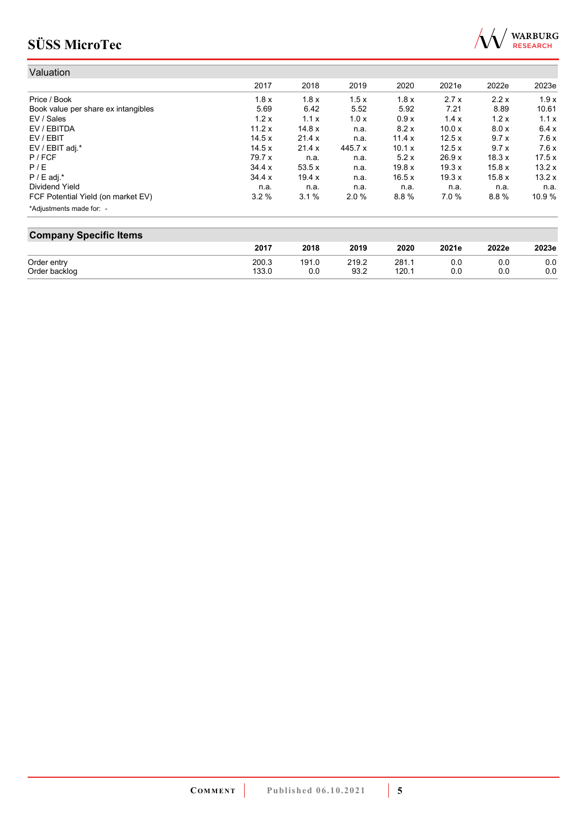

| Valuation                           |         |        |         |        |        |       |       |
|-------------------------------------|---------|--------|---------|--------|--------|-------|-------|
|                                     | 2017    | 2018   | 2019    | 2020   | 2021e  | 2022e | 2023e |
| Price / Book                        | 1.8x    | 1.8x   | 1.5x    | 1.8x   | 2.7x   | 2.2x  | 1.9x  |
| Book value per share ex intangibles | 5.69    | 6.42   | 5.52    | 5.92   | 7.21   | 8.89  | 10.61 |
| EV / Sales                          | 1.2x    | 1.1x   | 1.0x    | 0.9x   | 1.4x   | 1.2x  | 1.1x  |
| EV / EBITDA                         | 11.2x   | 14.8 x | n.a.    | 8.2 x  | 10.0 x | 8.0x  | 6.4x  |
| EV / EBIT                           | 14.5x   | 21.4 x | n.a.    | 11.4x  | 12.5x  | 9.7x  | 7.6x  |
| EV / EBIT adj.*                     | 14.5x   | 21.4 x | 445.7 x | 10.1 x | 12.5x  | 9.7x  | 7.6x  |
| P / FCF                             | 79.7 x  | n.a.   | n.a.    | 5.2x   | 26.9x  | 18.3x | 17.5x |
| P/E                                 | 34.4 x  | 53.5x  | n.a.    | 19.8 x | 19.3x  | 15.8x | 13.2x |
| $P / E$ adj.*                       | 34.4 x  | 19.4x  | n.a.    | 16.5x  | 19.3x  | 15.8x | 13.2x |
| Dividend Yield                      | n.a.    | n.a.   | n.a.    | n.a.   | n.a.   | n.a.  | n.a.  |
| FCF Potential Yield (on market EV)  | $3.2\%$ | 3.1%   | 2.0%    | 8.8%   | 7.0%   | 8.8%  | 10.9% |
| *Adjustments made for: -            |         |        |         |        |        |       |       |

| <b>Company Specific Items</b> |       |       |       |       |       |       |       |
|-------------------------------|-------|-------|-------|-------|-------|-------|-------|
|                               | 2017  | 2018  | 2019  | 2020  | 2021e | 2022e | 2023e |
| Order entry                   | 200.3 | 191.0 | 219.2 | 281.1 | 0.0   | 0.0   | 0.0   |
| Order backlog                 | 133.0 | 0.0   | 93.2  | 120.1 | 0.0   | 0.0   | 0.0   |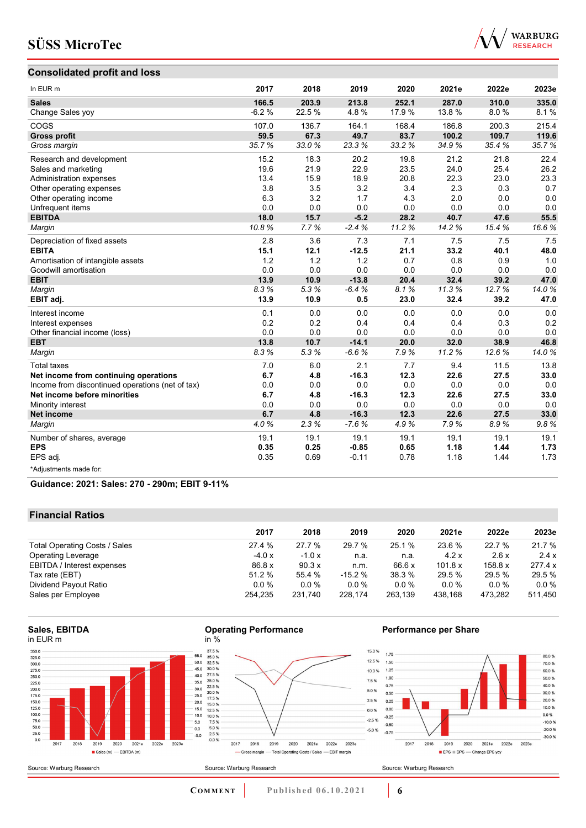

# **Consolidated profit and loss**

| In EUR m                                         | 2017    | 2018   | 2019    | 2020  | 2021e  | 2022e | 2023e |
|--------------------------------------------------|---------|--------|---------|-------|--------|-------|-------|
| <b>Sales</b>                                     | 166.5   | 203.9  | 213.8   | 252.1 | 287.0  | 310.0 | 335.0 |
| Change Sales yoy                                 | $-6.2%$ | 22.5 % | 4.8%    | 17.9% | 13.8 % | 8.0%  | 8.1%  |
| COGS                                             | 107.0   | 136.7  | 164.1   | 168.4 | 186.8  | 200.3 | 215.4 |
| <b>Gross profit</b>                              | 59.5    | 67.3   | 49.7    | 83.7  | 100.2  | 109.7 | 119.6 |
| Gross margin                                     | 35.7%   | 33.0%  | 23.3%   | 33.2% | 34.9%  | 35.4% | 35.7% |
| Research and development                         | 15.2    | 18.3   | 20.2    | 19.8  | 21.2   | 21.8  | 22.4  |
| Sales and marketing                              | 19.6    | 21.9   | 22.9    | 23.5  | 24.0   | 25.4  | 26.2  |
| Administration expenses                          | 13.4    | 15.9   | 18.9    | 20.8  | 22.3   | 23.0  | 23.3  |
| Other operating expenses                         | 3.8     | 3.5    | 3.2     | 3.4   | 2.3    | 0.3   | 0.7   |
| Other operating income                           | 6.3     | 3.2    | 1.7     | 4.3   | 2.0    | 0.0   | 0.0   |
| Unfrequent items                                 | 0.0     | 0.0    | 0.0     | 0.0   | 0.0    | 0.0   | 0.0   |
| <b>EBITDA</b>                                    | 18.0    | 15.7   | $-5.2$  | 28.2  | 40.7   | 47.6  | 55.5  |
| Margin                                           | 10.8%   | 7.7%   | $-2.4%$ | 11.2% | 14.2%  | 15.4% | 16.6% |
| Depreciation of fixed assets                     | 2.8     | 3.6    | 7.3     | 7.1   | 7.5    | 7.5   | 7.5   |
| <b>EBITA</b>                                     | 15.1    | 12.1   | $-12.5$ | 21.1  | 33.2   | 40.1  | 48.0  |
| Amortisation of intangible assets                | 1.2     | 1.2    | 1.2     | 0.7   | 0.8    | 0.9   | 1.0   |
| Goodwill amortisation                            | 0.0     | 0.0    | 0.0     | 0.0   | 0.0    | 0.0   | 0.0   |
| <b>EBIT</b>                                      | 13.9    | 10.9   | $-13.8$ | 20.4  | 32.4   | 39.2  | 47.0  |
| Margin                                           | 8.3%    | 5.3%   | $-6.4%$ | 8.1%  | 11.3%  | 12.7% | 14.0% |
| EBIT adj.                                        | 13.9    | 10.9   | 0.5     | 23.0  | 32.4   | 39.2  | 47.0  |
| Interest income                                  | 0.1     | 0.0    | 0.0     | 0.0   | 0.0    | 0.0   | 0.0   |
| Interest expenses                                | 0.2     | 0.2    | 0.4     | 0.4   | 0.4    | 0.3   | 0.2   |
| Other financial income (loss)                    | 0.0     | 0.0    | 0.0     | 0.0   | 0.0    | 0.0   | 0.0   |
| <b>EBT</b>                                       | 13.8    | 10.7   | $-14.1$ | 20.0  | 32.0   | 38.9  | 46.8  |
| Margin                                           | 8.3%    | 5.3%   | $-6.6%$ | 7.9%  | 11.2%  | 12.6% | 14.0% |
| <b>Total taxes</b>                               | 7.0     | 6.0    | 2.1     | 7.7   | 9.4    | 11.5  | 13.8  |
| Net income from continuing operations            | 6.7     | 4.8    | $-16.3$ | 12.3  | 22.6   | 27.5  | 33.0  |
| Income from discontinued operations (net of tax) | 0.0     | 0.0    | 0.0     | 0.0   | 0.0    | 0.0   | 0.0   |
| Net income before minorities                     | 6.7     | 4.8    | $-16.3$ | 12.3  | 22.6   | 27.5  | 33.0  |
| Minority interest                                | 0.0     | 0.0    | 0.0     | 0.0   | 0.0    | 0.0   | 0.0   |
| <b>Net income</b>                                | 6.7     | 4.8    | $-16.3$ | 12.3  | 22.6   | 27.5  | 33.0  |
| Margin                                           | 4.0%    | 2.3%   | $-7.6%$ | 4.9%  | 7.9%   | 8.9%  | 9.8%  |
| Number of shares, average                        | 19.1    | 19.1   | 19.1    | 19.1  | 19.1   | 19.1  | 19.1  |
| <b>EPS</b>                                       | 0.35    | 0.25   | $-0.85$ | 0.65  | 1.18   | 1.44  | 1.73  |
| EPS adj.                                         | 0.35    | 0.69   | $-0.11$ | 0.78  | 1.18   | 1.44  | 1.73  |
| *Adjustments made for:                           |         |        |         |       |        |       |       |

**Guidance: 2021: Sales: 270 - 290m; EBIT 9-11%**

## **Financial Ratios**

|                               | 2017    | 2018    | 2019     | 2020    | 2021e   | 2022e   | 2023e   |
|-------------------------------|---------|---------|----------|---------|---------|---------|---------|
| Total Operating Costs / Sales | 27.4 %  | 27.7 %  | 29.7 %   | 25.1%   | 23.6 %  | 22.7%   | 21.7 %  |
| <b>Operating Leverage</b>     | $-4.0x$ | $-1.0x$ | n.a.     | n.a.    | 4.2x    | 2.6x    | 2.4x    |
| EBITDA / Interest expenses    | 86.8 x  | 90.3 x  | n.m.     | 66.6 x  | 101.8 x | 158.8 x | 277.4 x |
| Tax rate (EBT)                | 51.2 %  | 55.4 %  | $-15.2%$ | 38.3 %  | 29.5 %  | 29.5 %  | 29.5 %  |
| Dividend Payout Ratio         | $0.0\%$ | $0.0\%$ | $0.0\%$  | $0.0\%$ | $0.0\%$ | $0.0\%$ | $0.0\%$ |
| Sales per Employee            | 254.235 | 231.740 | 228,174  | 263.139 | 438.168 | 473.282 | 511,450 |

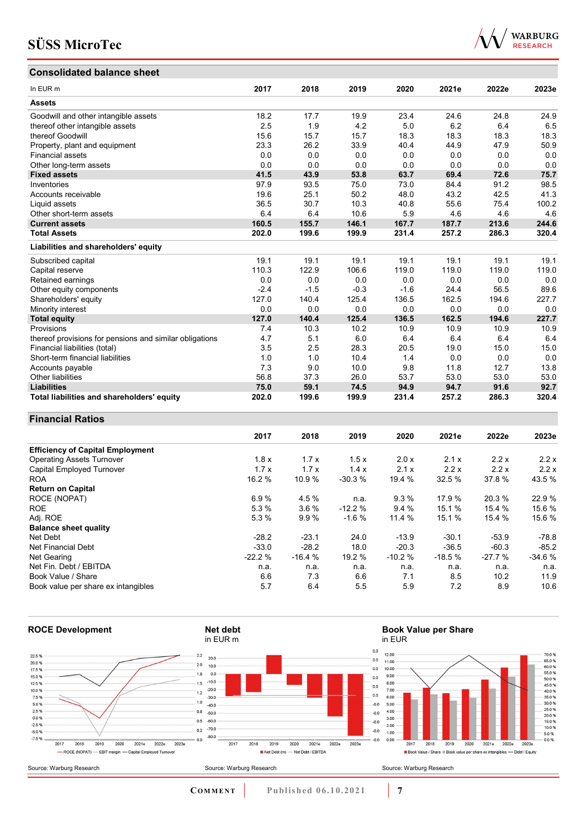# **Consolidated balance sheet**



| CONSONUALEU DAIANCE SHEEL                               |        |        |        |        |       |       |       |
|---------------------------------------------------------|--------|--------|--------|--------|-------|-------|-------|
| In EUR <sub>m</sub>                                     | 2017   | 2018   | 2019   | 2020   | 2021e | 2022e | 2023e |
| <b>Assets</b>                                           |        |        |        |        |       |       |       |
| Goodwill and other intangible assets                    | 18.2   | 17.7   | 19.9   | 23.4   | 24.6  | 24.8  | 24.9  |
| thereof other intangible assets                         | 2.5    | 1.9    | 4.2    | 5.0    | 6.2   | 6.4   | 6.5   |
| thereof Goodwill                                        | 15.6   | 15.7   | 15.7   | 18.3   | 18.3  | 18.3  | 18.3  |
| Property, plant and equipment                           | 23.3   | 26.2   | 33.9   | 40.4   | 44.9  | 47.9  | 50.9  |
| <b>Financial assets</b>                                 | 0.0    | 0.0    | 0.0    | 0.0    | 0.0   | 0.0   | 0.0   |
| Other long-term assets                                  | 0.0    | 0.0    | 0.0    | 0.0    | 0.0   | 0.0   | 0.0   |
| <b>Fixed assets</b>                                     | 41.5   | 43.9   | 53.8   | 63.7   | 69.4  | 72.6  | 75.7  |
| Inventories                                             | 97.9   | 93.5   | 75.0   | 73.0   | 84.4  | 91.2  | 98.5  |
| Accounts receivable                                     | 19.6   | 25.1   | 50.2   | 48.0   | 43.2  | 42.5  | 41.3  |
| Liquid assets                                           | 36.5   | 30.7   | 10.3   | 40.8   | 55.6  | 75.4  | 100.2 |
| Other short-term assets                                 | 6.4    | 6.4    | 10.6   | 5.9    | 4.6   | 4.6   | 4.6   |
| <b>Current assets</b>                                   | 160.5  | 155.7  | 146.1  | 167.7  | 187.7 | 213.6 | 244.6 |
| <b>Total Assets</b>                                     | 202.0  | 199.6  | 199.9  | 231.4  | 257.2 | 286.3 | 320.4 |
| Liabilities and shareholders' equity                    |        |        |        |        |       |       |       |
| Subscribed capital                                      | 19.1   | 19.1   | 19.1   | 19.1   | 19.1  | 19.1  | 19.1  |
| Capital reserve                                         | 110.3  | 122.9  | 106.6  | 119.0  | 119.0 | 119.0 | 119.0 |
| Retained earnings                                       | 0.0    | 0.0    | 0.0    | 0.0    | 0.0   | 0.0   | 0.0   |
| Other equity components                                 | $-2.4$ | $-1.5$ | $-0.3$ | $-1.6$ | 24.4  | 56.5  | 89.6  |
| Shareholders' equity                                    | 127.0  | 140.4  | 125.4  | 136.5  | 162.5 | 194.6 | 227.7 |
| Minority interest                                       | 0.0    | 0.0    | 0.0    | 0.0    | 0.0   | 0.0   | 0.0   |
| <b>Total equity</b>                                     | 127.0  | 140.4  | 125.4  | 136.5  | 162.5 | 194.6 | 227.7 |
| Provisions                                              | 7.4    | 10.3   | 10.2   | 10.9   | 10.9  | 10.9  | 10.9  |
| thereof provisions for pensions and similar obligations | 4.7    | 5.1    | 6.0    | 6.4    | 6.4   | 6.4   | 6.4   |
| Financial liabilities (total)                           | 3.5    | 2.5    | 28.3   | 20.5   | 19.0  | 15.0  | 15.0  |
| Short-term financial liabilities                        | 1.0    | 1.0    | 10.4   | 1.4    | 0.0   | 0.0   | 0.0   |
| Accounts payable                                        | 7.3    | 9.0    | 10.0   | 9.8    | 11.8  | 12.7  | 13.8  |
| Other liabilities                                       | 56.8   | 37.3   | 26.0   | 53.7   | 53.0  | 53.0  | 53.0  |
| <b>Liabilities</b>                                      | 75.0   | 59.1   | 74.5   | 94.9   | 94.7  | 91.6  | 92.7  |
| Total liabilities and shareholders' equity              | 202.0  | 199.6  | 199.9  | 231.4  | 257.2 | 286.3 | 320.4 |

### **Financial Ratios**

|                                         | 2017     | 2018     | 2019     | 2020     | 2021e    | 2022e    | 2023e    |
|-----------------------------------------|----------|----------|----------|----------|----------|----------|----------|
| <b>Efficiency of Capital Employment</b> |          |          |          |          |          |          |          |
| <b>Operating Assets Turnover</b>        | 1.8x     | 1.7x     | 1.5x     | 2.0 x    | 2.1x     | 2.2x     | 2.2x     |
| Capital Employed Turnover               | 1.7x     | 1.7x     | 1.4x     | 2.1x     | 2.2x     | 2.2x     | 2.2x     |
| <b>ROA</b>                              | 16.2 %   | 10.9 %   | $-30.3%$ | 19.4 %   | 32.5%    | 37.8%    | 43.5 %   |
| <b>Return on Capital</b>                |          |          |          |          |          |          |          |
| ROCE (NOPAT)                            | 6.9%     | 4.5 %    | n.a.     | 9.3%     | 17.9 %   | 20.3%    | 22.9 %   |
| <b>ROE</b>                              | 5.3 %    | 3.6%     | $-12.2%$ | 9.4%     | 15.1 %   | 15.4 %   | 15.6 %   |
| Adj. ROE                                | 5.3 %    | 9.9%     | $-1.6%$  | 11.4 %   | 15.1 %   | 15.4 %   | 15.6 %   |
| <b>Balance sheet quality</b>            |          |          |          |          |          |          |          |
| Net Debt                                | $-28.2$  | $-23.1$  | 24.0     | $-13.9$  | $-30.1$  | $-53.9$  | $-78.8$  |
| Net Financial Debt                      | $-33.0$  | $-28.2$  | 18.0     | $-20.3$  | $-36.5$  | $-60.3$  | $-85.2$  |
| Net Gearing                             | $-22.2%$ | $-16.4%$ | 19.2 %   | $-10.2%$ | $-18.5%$ | $-27.7%$ | $-34.6%$ |
| Net Fin. Debt / EBITDA                  | n.a.     | n.a.     | n.a.     | n.a.     | n.a.     | n.a.     | n.a.     |
| Book Value / Share                      | 6.6      | 7.3      | 6.6      | 7.1      | 8.5      | 10.2     | 11.9     |
| Book value per share ex intangibles     | 5.7      | 6.4      | 5.5      | 5.9      | 7.2      | 8.9      | 10.6     |



# **Book Value per Share**

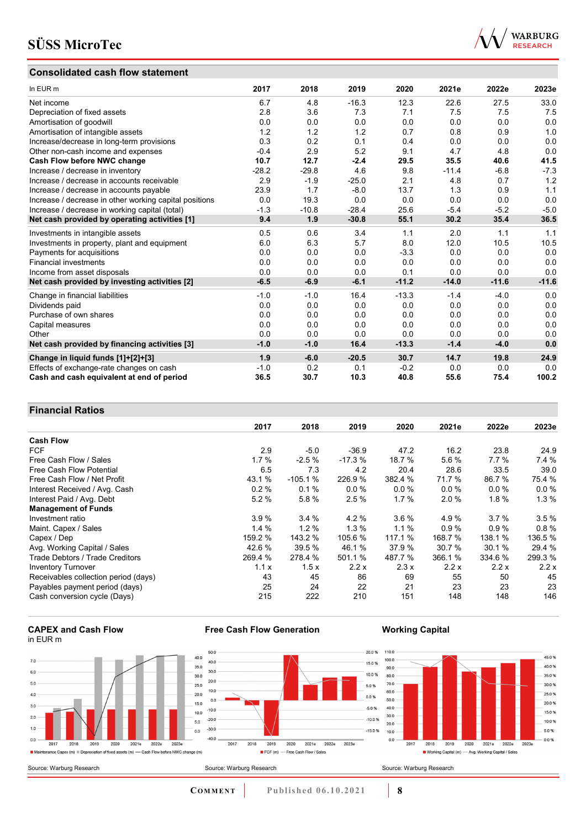## **Consolidated cash flow statement**



| In EUR m                                               | 2017    | 2018    | 2019    | 2020    | 2021e   | 2022e   | 2023e   |
|--------------------------------------------------------|---------|---------|---------|---------|---------|---------|---------|
| Net income                                             | 6.7     | 4.8     | $-16.3$ | 12.3    | 22.6    | 27.5    | 33.0    |
| Depreciation of fixed assets                           | 2.8     | 3.6     | 7.3     | 7.1     | 7.5     | 7.5     | 7.5     |
| Amortisation of goodwill                               | 0.0     | 0.0     | 0.0     | 0.0     | 0.0     | 0.0     | 0.0     |
| Amortisation of intangible assets                      | 1.2     | 1.2     | 1.2     | 0.7     | 0.8     | 0.9     | 1.0     |
| Increase/decrease in long-term provisions              | 0.3     | 0.2     | 0.1     | 0.4     | 0.0     | 0.0     | 0.0     |
| Other non-cash income and expenses                     | $-0.4$  | 2.9     | 5.2     | 9.1     | 4.7     | 4.8     | 0.0     |
| Cash Flow before NWC change                            | 10.7    | 12.7    | $-2.4$  | 29.5    | 35.5    | 40.6    | 41.5    |
| Increase / decrease in inventory                       | $-28.2$ | $-29.8$ | 4.6     | 9.8     | $-11.4$ | $-6.8$  | $-7.3$  |
| Increase / decrease in accounts receivable             | 2.9     | $-1.9$  | $-25.0$ | 2.1     | 4.8     | 0.7     | 1.2     |
| Increase / decrease in accounts payable                | 23.9    | 1.7     | $-8.0$  | 13.7    | 1.3     | 0.9     | 1.1     |
| Increase / decrease in other working capital positions | 0.0     | 19.3    | 0.0     | 0.0     | 0.0     | 0.0     | 0.0     |
| Increase / decrease in working capital (total)         | $-1.3$  | $-10.8$ | $-28.4$ | 25.6    | $-5.4$  | $-5.2$  | $-5.0$  |
| Net cash provided by operating activities [1]          | 9.4     | 1.9     | $-30.8$ | 55.1    | 30.2    | 35.4    | 36.5    |
| Investments in intangible assets                       | 0.5     | 0.6     | 3.4     | 1.1     | 2.0     | 1.1     | 1.1     |
| Investments in property, plant and equipment           | 6.0     | 6.3     | 5.7     | 8.0     | 12.0    | 10.5    | 10.5    |
| Payments for acquisitions                              | 0.0     | 0.0     | 0.0     | $-3.3$  | 0.0     | 0.0     | 0.0     |
| <b>Financial investments</b>                           | 0.0     | 0.0     | 0.0     | 0.0     | 0.0     | 0.0     | 0.0     |
| Income from asset disposals                            | 0.0     | 0.0     | 0.0     | 0.1     | 0.0     | 0.0     | 0.0     |
| Net cash provided by investing activities [2]          | $-6.5$  | $-6.9$  | $-6.1$  | $-11.2$ | $-14.0$ | $-11.6$ | $-11.6$ |
| Change in financial liabilities                        | $-1.0$  | $-1.0$  | 16.4    | $-13.3$ | $-1.4$  | $-4.0$  | 0.0     |
| Dividends paid                                         | 0.0     | 0.0     | 0.0     | 0.0     | 0.0     | 0.0     | 0.0     |
| Purchase of own shares                                 | 0.0     | 0.0     | 0.0     | 0.0     | 0.0     | 0.0     | 0.0     |
| Capital measures                                       | 0.0     | 0.0     | 0.0     | 0.0     | 0.0     | 0.0     | 0.0     |
| Other                                                  | 0.0     | 0.0     | 0.0     | 0.0     | 0.0     | 0.0     | 0.0     |
| Net cash provided by financing activities [3]          | $-1.0$  | $-1.0$  | 16.4    | $-13.3$ | $-1.4$  | $-4.0$  | 0.0     |
| Change in liquid funds [1]+[2]+[3]                     | 1.9     | $-6.0$  | $-20.5$ | 30.7    | 14.7    | 19.8    | 24.9    |
| Effects of exchange-rate changes on cash               | $-1.0$  | 0.2     | 0.1     | $-0.2$  | 0.0     | 0.0     | 0.0     |
| Cash and cash equivalent at end of period              | 36.5    | 30.7    | 10.3    | 40.8    | 55.6    | 75.4    | 100.2   |

## **Financial Ratios**

| .                                    |         |           |          |         |         |          |         |
|--------------------------------------|---------|-----------|----------|---------|---------|----------|---------|
|                                      | 2017    | 2018      | 2019     | 2020    | 2021e   | 2022e    | 2023e   |
| <b>Cash Flow</b>                     |         |           |          |         |         |          |         |
| <b>FCF</b>                           | 2.9     | $-5.0$    | $-36.9$  | 47.2    | 16.2    | 23.8     | 24.9    |
| Free Cash Flow / Sales               | 1.7%    | $-2.5%$   | $-17.3%$ | 18.7 %  | 5.6 %   | $7.7\%$  | 7.4 %   |
| Free Cash Flow Potential             | 6.5     | 7.3       | 4.2      | 20.4    | 28.6    | 33.5     | 39.0    |
| Free Cash Flow / Net Profit          | 43.1 %  | $-105.1%$ | 226.9%   | 382.4 % | 71.7 %  | 86.7%    | 75.4 %  |
| Interest Received / Avg. Cash        | 0.2%    | 0.1%      | 0.0%     | 0.0 %   | 0.0%    | $0.0 \%$ | 0.0%    |
| Interest Paid / Avg. Debt            | 5.2%    | 5.8%      | 2.5%     | 1.7%    | 2.0%    | 1.8%     | 1.3%    |
| <b>Management of Funds</b>           |         |           |          |         |         |          |         |
| Investment ratio                     | 3.9%    | 3.4%      | 4.2%     | 3.6%    | 4.9%    | 3.7%     | 3.5%    |
| Maint. Capex / Sales                 | 1.4%    | 1.2%      | 1.3%     | $1.1\%$ | 0.9%    | 0.9%     | 0.8%    |
| Capex / Dep                          | 159.2 % | 143.2 %   | 105.6 %  | 117.1 % | 168.7 % | 138.1 %  | 136.5 % |
| Avg. Working Capital / Sales         | 42.6 %  | 39.5 %    | 46.1%    | 37.9 %  | 30.7 %  | 30.1 %   | 29.4 %  |
| Trade Debtors / Trade Creditors      | 269.4 % | 278.4 %   | 501.1 %  | 487.7 % | 366.1 % | 334.6 %  | 299.3 % |
| <b>Inventory Turnover</b>            | 1.1x    | 1.5x      | 2.2x     | 2.3x    | 2.2x    | 2.2x     | 2.2x    |
| Receivables collection period (days) | 43      | 45        | 86       | 69      | 55      | 50       | 45      |
| Payables payment period (days)       | 25      | 24        | 22       | 21      | 23      | 23       | 23      |
| Cash conversion cycle (Days)         | 215     | 222       | 210      | 151     | 148     | 148      | 146     |

#### **CAPEX and Cash Flow** in EUR m

Source: Warburg Research





 $\frac{1}{2019}$ 

FCF (m) - Free Cash Flow / Sales

## **Working Capital**



**COMMENT** Published 06.10.2021 **8** 

2020 2021e 2022e 2023e

2018

 $\frac{1}{2017}$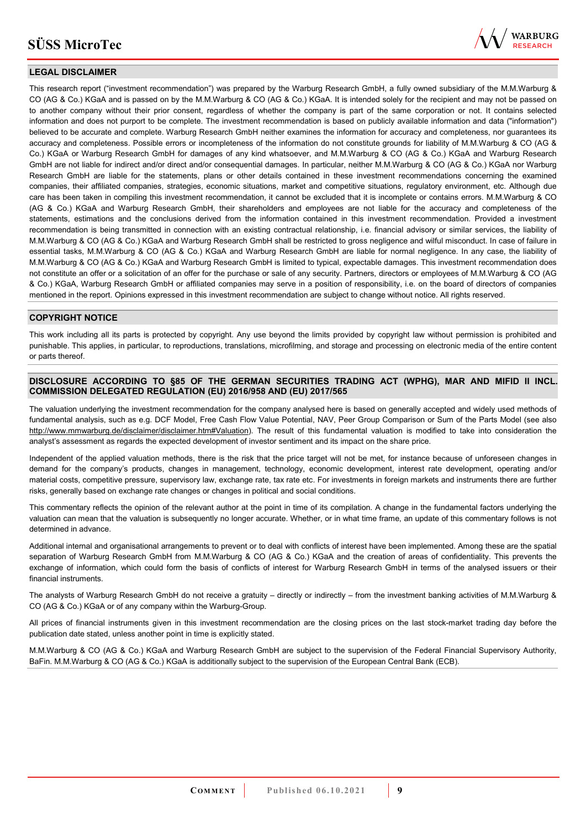

## **LEGAL DISCLAIMER**

This research report ("investment recommendation") was prepared by the Warburg Research GmbH, a fully owned subsidiary of the M.M.Warburg & CO (AG & Co.) KGaA and is passed on by the M.M.Warburg & CO (AG & Co.) KGaA. It is intended solely for the recipient and may not be passed on to another company without their prior consent, regardless of whether the company is part of the same corporation or not. It contains selected information and does not purport to be complete. The investment recommendation is based on publicly available information and data ("information") believed to be accurate and complete. Warburg Research GmbH neither examines the information for accuracy and completeness, nor guarantees its accuracy and completeness. Possible errors or incompleteness of the information do not constitute grounds for liability of M.M.Warburg & CO (AG & Co.) KGaA or Warburg Research GmbH for damages of any kind whatsoever, and M.M.Warburg & CO (AG & Co.) KGaA and Warburg Research GmbH are not liable for indirect and/or direct and/or consequential damages. In particular, neither M.M.Warburg & CO (AG & Co.) KGaA nor Warburg Research GmbH are liable for the statements, plans or other details contained in these investment recommendations concerning the examined companies, their affiliated companies, strategies, economic situations, market and competitive situations, regulatory environment, etc. Although due care has been taken in compiling this investment recommendation, it cannot be excluded that it is incomplete or contains errors. M.M.Warburg & CO (AG & Co.) KGaA and Warburg Research GmbH, their shareholders and employees are not liable for the accuracy and completeness of the statements, estimations and the conclusions derived from the information contained in this investment recommendation. Provided a investment recommendation is being transmitted in connection with an existing contractual relationship, i.e. financial advisory or similar services, the liability of M.M.Warburg & CO (AG & Co.) KGaA and Warburg Research GmbH shall be restricted to gross negligence and wilful misconduct. In case of failure in essential tasks, M.M.Warburg & CO (AG & Co.) KGaA and Warburg Research GmbH are liable for normal negligence. In any case, the liability of M.M.Warburg & CO (AG & Co.) KGaA and Warburg Research GmbH is limited to typical, expectable damages. This investment recommendation does not constitute an offer or a solicitation of an offer for the purchase or sale of any security. Partners, directors or employees of M.M.Warburg & CO (AG & Co.) KGaA, Warburg Research GmbH or affiliated companies may serve in a position of responsibility, i.e. on the board of directors of companies mentioned in the report. Opinions expressed in this investment recommendation are subject to change without notice. All rights reserved.

### **COPYRIGHT NOTICE**

This work including all its parts is protected by copyright. Any use beyond the limits provided by copyright law without permission is prohibited and punishable. This applies, in particular, to reproductions, translations, microfilming, and storage and processing on electronic media of the entire content or parts thereof.

### **DISCLOSURE ACCORDING TO §85 OF THE GERMAN SECURITIES TRADING ACT (WPHG), MAR AND MIFID II INCL. COMMISSION DELEGATED REGULATION (EU) 2016/958 AND (EU) 2017/565**

The valuation underlying the investment recommendation for the company analysed here is based on generally accepted and widely used methods of fundamental analysis, such as e.g. DCF Model, Free Cash Flow Value Potential, NAV, Peer Group Comparison or Sum of the Parts Model (see also [http://www.mmwarburg.de/disclaimer/disclaimer.htm#Valuation\)](http://www.mmwarburg.de/disclaimer/disclaimer.htm#Valuation). The result of this fundamental valuation is modified to take into consideration the analyst's assessment as regards the expected development of investor sentiment and its impact on the share price.

Independent of the applied valuation methods, there is the risk that the price target will not be met, for instance because of unforeseen changes in demand for the company's products, changes in management, technology, economic development, interest rate development, operating and/or material costs, competitive pressure, supervisory law, exchange rate, tax rate etc. For investments in foreign markets and instruments there are further risks, generally based on exchange rate changes or changes in political and social conditions.

This commentary reflects the opinion of the relevant author at the point in time of its compilation. A change in the fundamental factors underlying the valuation can mean that the valuation is subsequently no longer accurate. Whether, or in what time frame, an update of this commentary follows is not determined in advance.

Additional internal and organisational arrangements to prevent or to deal with conflicts of interest have been implemented. Among these are the spatial separation of Warburg Research GmbH from M.M.Warburg & CO (AG & Co.) KGaA and the creation of areas of confidentiality. This prevents the exchange of information, which could form the basis of conflicts of interest for Warburg Research GmbH in terms of the analysed issuers or their financial instruments.

The analysts of Warburg Research GmbH do not receive a gratuity – directly or indirectly – from the investment banking activities of M.M.Warburg & CO (AG & Co.) KGaA or of any company within the Warburg-Group.

All prices of financial instruments given in this investment recommendation are the closing prices on the last stock-market trading day before the publication date stated, unless another point in time is explicitly stated.

M.M.Warburg & CO (AG & Co.) KGaA and Warburg Research GmbH are subject to the supervision of the Federal Financial Supervisory Authority, BaFin. M.M.Warburg & CO (AG & Co.) KGaA is additionally subject to the supervision of the European Central Bank (ECB).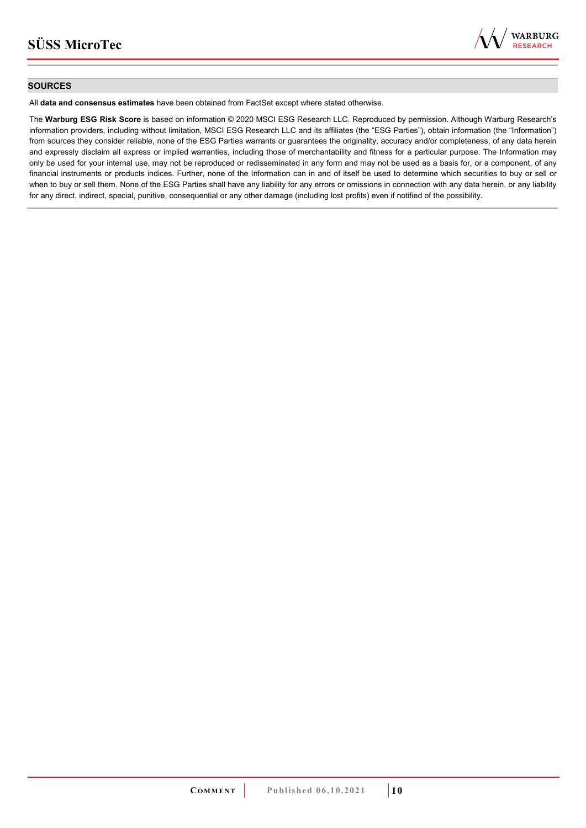

### **SOURCES**

All **data and consensus estimates** have been obtained from FactSet except where stated otherwise.

The **Warburg ESG Risk Score** is based on information © 2020 MSCI ESG Research LLC. Reproduced by permission. Although Warburg Research's information providers, including without limitation, MSCI ESG Research LLC and its affiliates (the "ESG Parties"), obtain information (the "Information") from sources they consider reliable, none of the ESG Parties warrants or guarantees the originality, accuracy and/or completeness, of any data herein and expressly disclaim all express or implied warranties, including those of merchantability and fitness for a particular purpose. The Information may only be used for your internal use, may not be reproduced or redisseminated in any form and may not be used as a basis for, or a component, of any financial instruments or products indices. Further, none of the Information can in and of itself be used to determine which securities to buy or sell or when to buy or sell them. None of the ESG Parties shall have any liability for any errors or omissions in connection with any data herein, or any liability for any direct, indirect, special, punitive, consequential or any other damage (including lost profits) even if notified of the possibility.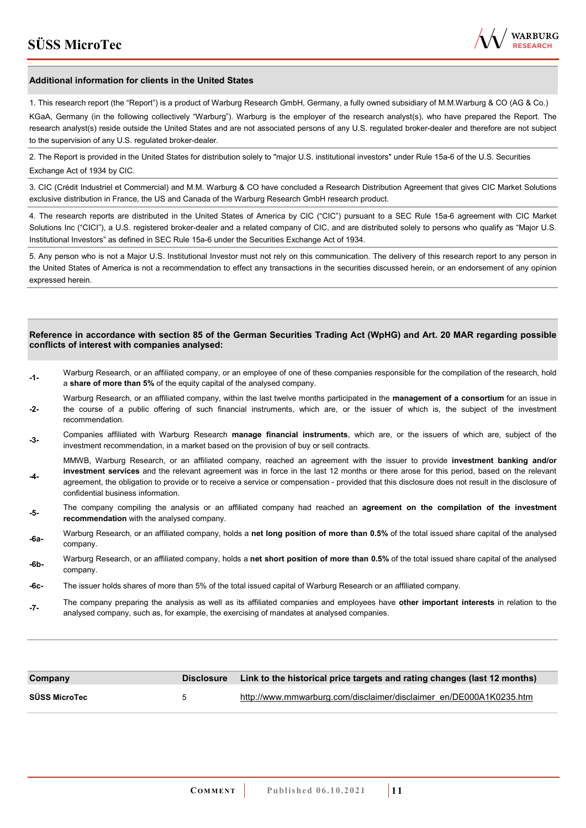

#### **Additional information for clients in the United States**

1. This research report (the "Report") is a product of Warburg Research GmbH, Germany, a fully owned subsidiary of M.M.Warburg & CO (AG & Co.)

KGaA, Germany (in the following collectively "Warburg"). Warburg is the employer of the research analyst(s), who have prepared the Report. The research analyst(s) reside outside the United States and are not associated persons of any U.S. regulated broker-dealer and therefore are not subject to the supervision of any U.S. regulated broker-dealer.

2. The Report is provided in the United States for distribution solely to "major U.S. institutional investors" under Rule 15a-6 of the U.S. Securities Exchange Act of 1934 by CIC.

3. CIC (Crédit Industriel et Commercial) and M.M. Warburg & CO have concluded a Research Distribution Agreement that gives CIC Market Solutions exclusive distribution in France, the US and Canada of the Warburg Research GmbH research product.

4. The research reports are distributed in the United States of America by CIC ("CIC") pursuant to a SEC Rule 15a-6 agreement with CIC Market Solutions Inc ("CICI"), a U.S. registered broker-dealer and a related company of CIC, and are distributed solely to persons who qualify as "Major U.S. Institutional Investors" as defined in SEC Rule 15a-6 under the Securities Exchange Act of 1934.

5. Any person who is not a Major U.S. Institutional Investor must not rely on this communication. The delivery of this research report to any person in the United States of America is not a recommendation to effect any transactions in the securities discussed herein, or an endorsement of any opinion expressed herein.

#### **Reference in accordance with section 85 of the German Securities Trading Act (WpHG) and Art. 20 MAR regarding possible conflicts of interest with companies analysed:**

- **-1-** Warburg Research, or an affiliated company, or an employee of one of these companies responsible for the compilation of the research, hold a **share of more than 5%** of the equity capital of the analysed company.
- **-2-**  Warburg Research, or an affiliated company, within the last twelve months participated in the **management of a consortium** for an issue in the course of a public offering of such financial instruments, which are, or the issuer of which is, the subject of the investment recommendation.
- **-3-** Companies affiliated with Warburg Research **manage financial instruments**, which are, or the issuers of which are, subject of the investment recommendation, in a market based on the provision of buy or sell contracts.

MMWB, Warburg Research, or an affiliated company, reached an agreement with the issuer to provide **investment banking and/or investment services** and the relevant agreement was in force in the last 12 months or there arose for this period, based on the relevant

- **-4**  agreement, the obligation to provide or to receive a service or compensation - provided that this disclosure does not result in the disclosure of confidential business information.
- **-5-** The company compiling the analysis or an affiliated company had reached an **agreement on the compilation of the investment recommendation** with the analysed company.
- **-6a-** Warburg Research, or an affiliated company, holds a **net long position of more than 0.5%** of the total issued share capital of the analysed company.
- **-6b-** Warburg Research, or an affiliated company, holds a **net short position of more than 0.5%** of the total issued share capital of the analysed company.
- **-6c-** The issuer holds shares of more than 5% of the total issued capital of Warburg Research or an affiliated company.
- **-7-** The company preparing the analysis as well as its affiliated companies and employees have **other important interests** in relation to the analysed company, such as, for example, the exercising of mandates at analysed companies.

| Company              | <b>Disclosure</b> | Link to the historical price targets and rating changes (last 12 months) |
|----------------------|-------------------|--------------------------------------------------------------------------|
| <b>SÜSS MicroTec</b> | h                 | http://www.mmwarburg.com/disclaimer/disclaimer en/DE000A1K0235.htm       |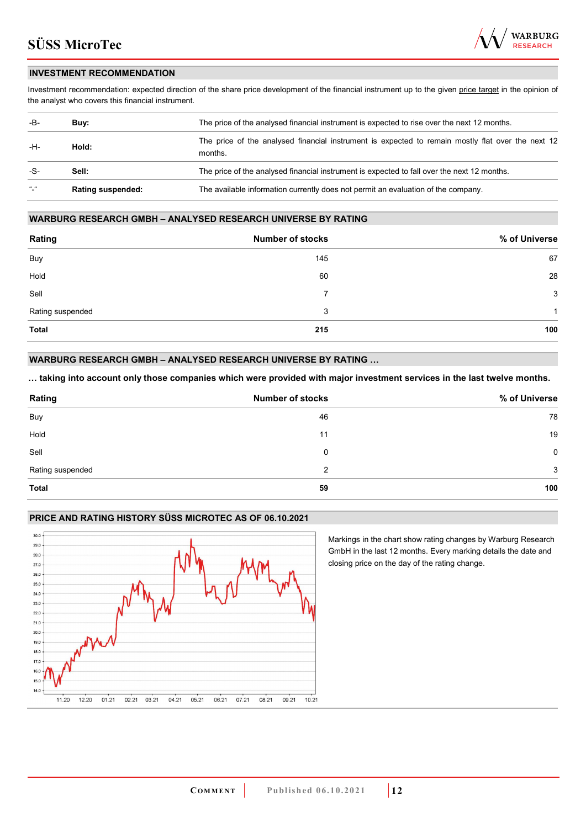

### **INVESTMENT RECOMMENDATION**

Investment recommendation: expected direction of the share price development of the financial instrument up to the given price target in the opinion of the analyst who covers this financial instrument.

| -B-           | Buy:                     | The price of the analysed financial instrument is expected to rise over the next 12 months.                  |
|---------------|--------------------------|--------------------------------------------------------------------------------------------------------------|
| -H-           | Hold:                    | The price of the analysed financial instrument is expected to remain mostly flat over the next 12<br>months. |
| -S-           | Sell:                    | The price of the analysed financial instrument is expected to fall over the next 12 months.                  |
| $\frac{1}{2}$ | <b>Rating suspended:</b> | The available information currently does not permit an evaluation of the company.                            |

#### **WARBURG RESEARCH GMBH – ANALYSED RESEARCH UNIVERSE BY RATING**

| Rating           | <b>Number of stocks</b> | % of Universe |
|------------------|-------------------------|---------------|
| Buy              | 145                     | 67            |
| Hold             | 60                      | 28            |
| Sell             | 7                       | 3             |
| Rating suspended | 3                       | 1             |
| <b>Total</b>     | 215                     | 100           |

### **WARBURG RESEARCH GMBH – ANALYSED RESEARCH UNIVERSE BY RATING …**

**… taking into account only those companies which were provided with major investment services in the last twelve months.** 

| Rating           | <b>Number of stocks</b> | % of Universe |
|------------------|-------------------------|---------------|
| Buy              | 46                      | 78            |
| Hold             | 11                      | 19            |
| Sell             | 0                       | $\mathbf 0$   |
| Rating suspended | 2                       | 3             |
| Total            | 59                      | 100           |

#### **PRICE AND RATING HISTORY SÜSS MICROTEC AS OF 06.10.2021**



Markings in the chart show rating changes by Warburg Research GmbH in the last 12 months. Every marking details the date and closing price on the day of the rating change.